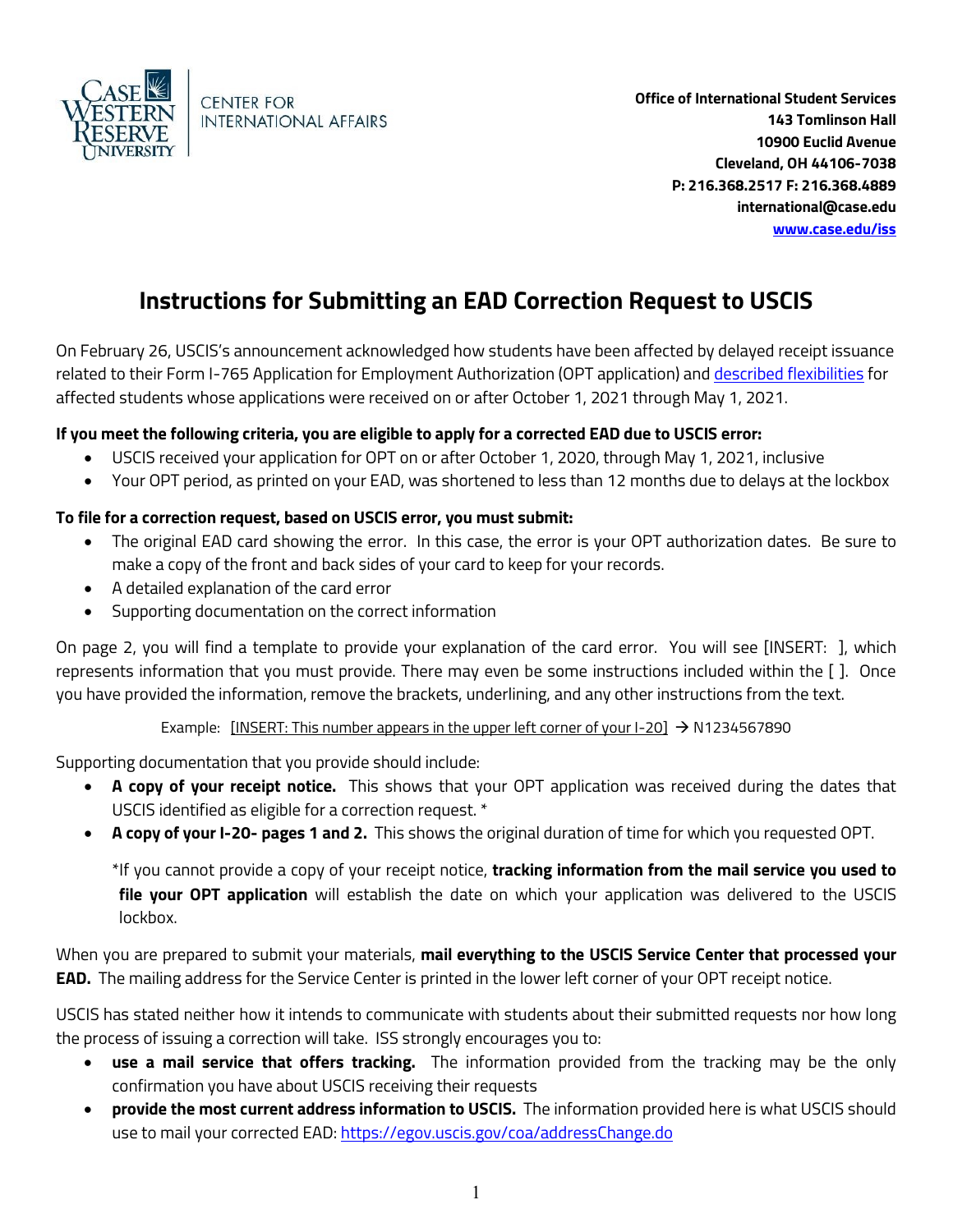

**Office of International Student Services 143 Tomlinson Hall 10900 Euclid Avenue Cleveland, OH 44106-7038 P: 216.368.2517 F: 216.368.4889 international@case.edu [www.case.edu/iss](http://www.case.edu/iss)**

## **Instructions for Submitting an EAD Correction Request to USCIS**

On February 26, USCIS's announcement acknowledged how students have been affected by delayed receipt issuance related to their Form I-765 Application for Employment Authorization (OPT application) and [described flexibilities](https://www.uscis.gov/news/alerts/uscis-extends-flexibilities-to-certain-applicants-filing-form-i-765-for-opt) for affected students whose applications were received on or after October 1, 2021 through May 1, 2021.

## **If you meet the following criteria, you are eligible to apply for a corrected EAD due to USCIS error:**

- USCIS received your application for OPT on or after October 1, 2020, through May 1, 2021, inclusive
- Your OPT period, as printed on your EAD, was shortened to less than 12 months due to delays at the lockbox

## **To file for a correction request, based on USCIS error, you must submit:**

- The original EAD card showing the error. In this case, the error is your OPT authorization dates. Be sure to make a copy of the front and back sides of your card to keep for your records.
- A detailed explanation of the card error
- Supporting documentation on the correct information

On page 2, you will find a template to provide your explanation of the card error. You will see [INSERT: ], which represents information that you must provide. There may even be some instructions included within the [ ]. Once you have provided the information, remove the brackets, underlining, and any other instructions from the text.

Example: [INSERT: This number appears in the upper left corner of your  $I-20$ ]  $\rightarrow$  N1234567890

Supporting documentation that you provide should include:

- **A copy of your receipt notice.** This shows that your OPT application was received during the dates that USCIS identified as eligible for a correction request. \*
- **A copy of your I-20- pages 1 and 2.** This shows the original duration of time for which you requested OPT.

\*If you cannot provide a copy of your receipt notice, **tracking information from the mail service you used to file your OPT application** will establish the date on which your application was delivered to the USCIS lockbox.

When you are prepared to submit your materials, **mail everything to the USCIS Service Center that processed your EAD.** The mailing address for the Service Center is printed in the lower left corner of your OPT receipt notice.

USCIS has stated neither how it intends to communicate with students about their submitted requests nor how long the process of issuing a correction will take. ISS strongly encourages you to:

- **use a mail service that offers tracking.** The information provided from the tracking may be the only confirmation you have about USCIS receiving their requests
- **provide the most current address information to USCIS.** The information provided here is what USCIS should use to mail your corrected EAD:<https://egov.uscis.gov/coa/addressChange.do>